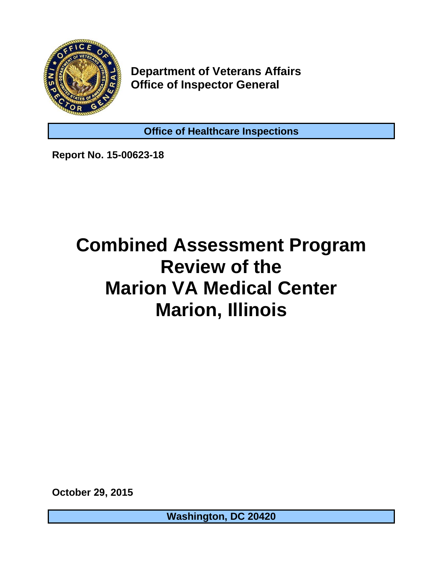

**Department of Veterans Affairs Office of Inspector General** 

**Office of Healthcare Inspections** 

**Report No. 15-00623-18** 

## **Combined Assessment Program Review of the Marion VA Medical Center Marion, Illinois**

**October 29, 2015** 

**Washington, DC 20420**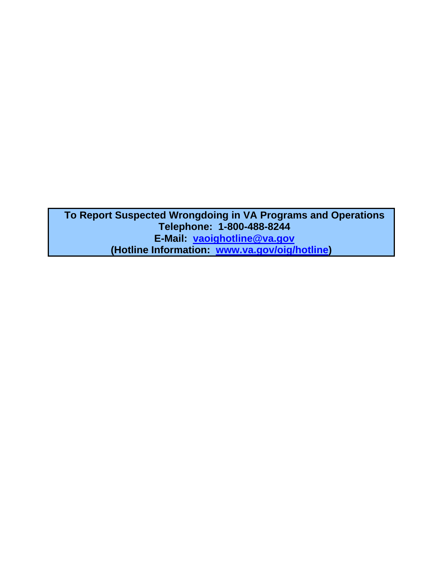**To Report Suspected Wrongdoing in VA Programs and Operations Telephone: 1-800-488-8244 E-Mail: [vaoighotline@va.gov](mailto:vaoighotline@va.gov)  (Hotline Information: [www.va.gov/oig/hotline\)](http://www.va.gov/oig/hotline)**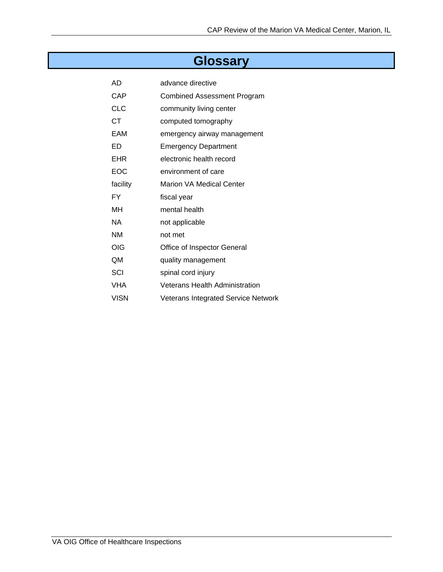## **Glossary**

| AD          | advance directive                          |
|-------------|--------------------------------------------|
| CAP         | Combined Assessment Program                |
| <b>CLC</b>  | community living center                    |
| СT          | computed tomography                        |
| EAM         | emergency airway management                |
| ED          | <b>Emergency Department</b>                |
| EHR         | electronic health record                   |
| EOC         | environment of care                        |
| facility    | Marion VA Medical Center                   |
| FY          | fiscal year                                |
| MН          | mental health                              |
| ΝA          | not applicable                             |
| ΝM          | not met                                    |
| OIG         | Office of Inspector General                |
| QM          | quality management                         |
| SCI         | spinal cord injury                         |
| VHA         | Veterans Health Administration             |
| <b>VISN</b> | <b>Veterans Integrated Service Network</b> |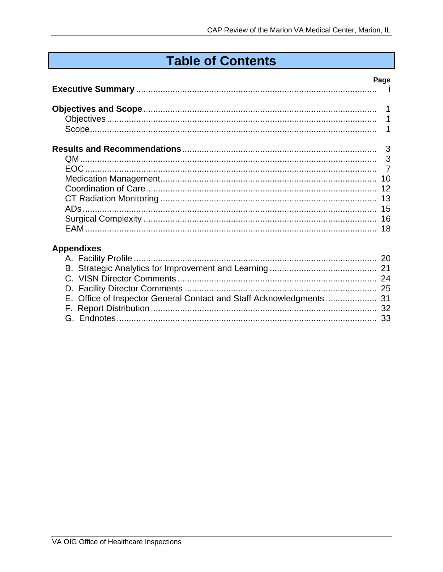## **Table of Contents**

|                            | Page     |
|----------------------------|----------|
|                            |          |
|                            |          |
|                            |          |
|                            |          |
|                            |          |
|                            |          |
|                            |          |
|                            |          |
|                            |          |
|                            |          |
|                            |          |
|                            |          |
|                            |          |
| <b>Appendixes</b>          |          |
| $\Lambda$ Equility Drafile | $\Omega$ |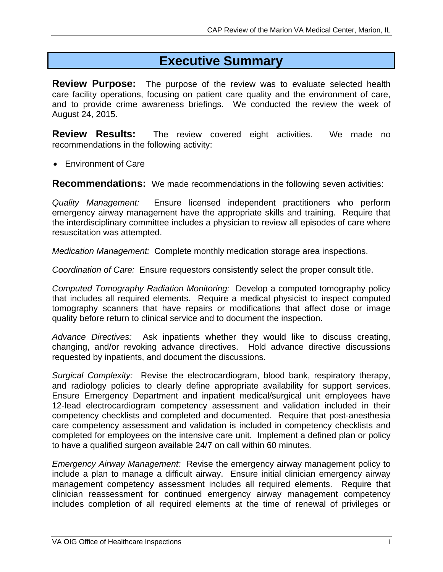## **Executive Summary**

<span id="page-4-0"></span>**Review Purpose:** The purpose of the review was to evaluate selected health care facility operations, focusing on patient care quality and the environment of care, and to provide crime awareness briefings. We conducted the review the week of August 24, 2015.

**Review Results:** The review covered eight activities. We made no recommendations in the following activity:

• Environment of Care

**Recommendations:** We made recommendations in the following seven activities:

*Quality Management:* Ensure licensed independent practitioners who perform emergency airway management have the appropriate skills and training. Require that the interdisciplinary committee includes a physician to review all episodes of care where resuscitation was attempted.

*Medication Management:* Complete monthly medication storage area inspections.

*Coordination of Care:* Ensure requestors consistently select the proper consult title.

*Computed Tomography Radiation Monitoring:* Develop a computed tomography policy that includes all required elements. Require a medical physicist to inspect computed tomography scanners that have repairs or modifications that affect dose or image quality before return to clinical service and to document the inspection.

*Advance Directives:* Ask inpatients whether they would like to discuss creating, changing, and/or revoking advance directives. Hold advance directive discussions requested by inpatients, and document the discussions.

*Surgical Complexity:* Revise the electrocardiogram, blood bank, respiratory therapy, and radiology policies to clearly define appropriate availability for support services. Ensure Emergency Department and inpatient medical/surgical unit employees have 12-lead electrocardiogram competency assessment and validation included in their competency checklists and completed and documented. Require that post-anesthesia care competency assessment and validation is included in competency checklists and completed for employees on the intensive care unit. Implement a defined plan or policy to have a qualified surgeon available 24/7 on call within 60 minutes*.* 

*Emergency Airway Management:* Revise the emergency airway management policy to include a plan to manage a difficult airway. Ensure initial clinician emergency airway management competency assessment includes all required elements. Require that clinician reassessment for continued emergency airway management competency includes completion of all required elements at the time of renewal of privileges or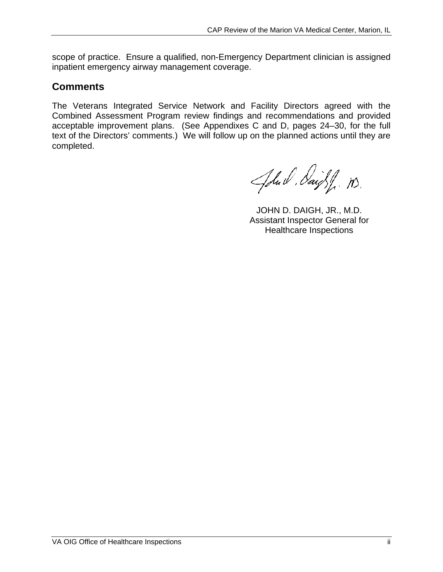scope of practice. Ensure a qualified, non-Emergency Department clinician is assigned inpatient emergency airway management coverage.

### **Comments**

The Veterans Integrated Service Network and Facility Directors agreed with the Combined Assessment Program review findings and recommendations and provided acceptable improvement plans. (See Appendixes C and D, pages 24–30, for the full text of the Directors' comments.) We will follow up on the planned actions until they are completed.

John Paight n.

JOHN D. DAIGH, JR., M.D. Assistant Inspector General for Healthcare Inspections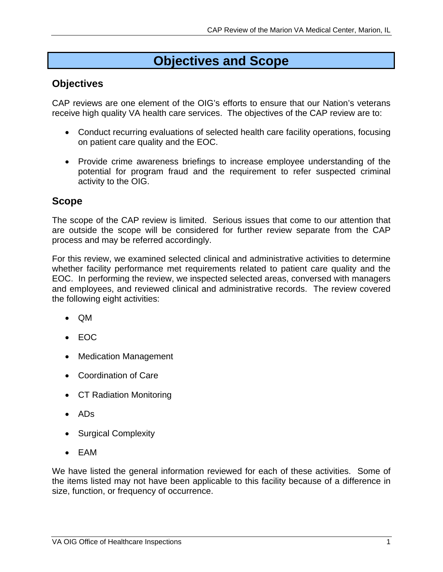## **Objectives and Scope**

## <span id="page-6-0"></span>**Objectives**

CAP reviews are one element of the OIG's efforts to ensure that our Nation's veterans receive high quality VA health care services. The objectives of the CAP review are to:

- Conduct recurring evaluations of selected health care facility operations, focusing on patient care quality and the EOC.
- Provide crime awareness briefings to increase employee understanding of the potential for program fraud and the requirement to refer suspected criminal activity to the OIG.

## **Scope**

The scope of the CAP review is limited. Serious issues that come to our attention that are outside the scope will be considered for further review separate from the CAP process and may be referred accordingly.

For this review, we examined selected clinical and administrative activities to determine whether facility performance met requirements related to patient care quality and the EOC. In performing the review, we inspected selected areas, conversed with managers and employees, and reviewed clinical and administrative records. The review covered the following eight activities:

- QM
- EOC
- Medication Management
- Coordination of Care
- CT Radiation Monitoring
- ADs
- Surgical Complexity
- EAM

We have listed the general information reviewed for each of these activities. Some of the items listed may not have been applicable to this facility because of a difference in size, function, or frequency of occurrence.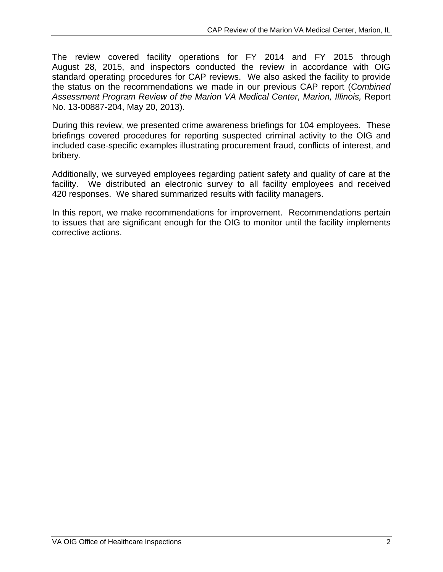The review covered facility operations for FY 2014 and FY 2015 through August 28, 2015, and inspectors conducted the review in accordance with OIG standard operating procedures for CAP reviews. We also asked the facility to provide the status on the recommendations we made in our previous CAP report (*Combined Assessment Program Review of the Marion VA Medical Center, Marion, Illinois,* Report No. 13-00887-204, May 20, 2013).

During this review, we presented crime awareness briefings for 104 employees. These briefings covered procedures for reporting suspected criminal activity to the OIG and included case-specific examples illustrating procurement fraud, conflicts of interest, and bribery.

Additionally, we surveyed employees regarding patient safety and quality of care at the facility. We distributed an electronic survey to all facility employees and received 420 responses. We shared summarized results with facility managers.

In this report, we make recommendations for improvement. Recommendations pertain to issues that are significant enough for the OIG to monitor until the facility implements corrective actions.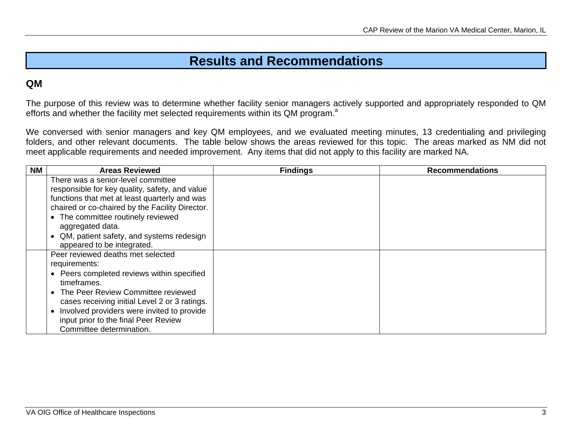## **Results and Recommendations**

## <span id="page-8-0"></span>**QM**

The purpose of this review was to determine whether facility senior managers actively supported and appropriately responded to QM efforts and whether the facility met selected requirements within its QM program.<sup>a</sup>

We conversed with senior managers and key QM employees, and we evaluated meeting minutes, 13 credentialing and privileging folders, and other relevant documents. The table below shows the areas reviewed for this topic. The areas marked as NM did not meet applicable requirements and needed improvement. Any items that did not apply to this facility are marked NA.

| <b>NM</b> | <b>Areas Reviewed</b>                           | <b>Findings</b> | <b>Recommendations</b> |
|-----------|-------------------------------------------------|-----------------|------------------------|
|           | There was a senior-level committee              |                 |                        |
|           | responsible for key quality, safety, and value  |                 |                        |
|           | functions that met at least quarterly and was   |                 |                        |
|           | chaired or co-chaired by the Facility Director. |                 |                        |
|           | • The committee routinely reviewed              |                 |                        |
|           | aggregated data.                                |                 |                        |
|           | QM, patient safety, and systems redesign        |                 |                        |
|           | appeared to be integrated.                      |                 |                        |
|           | Peer reviewed deaths met selected               |                 |                        |
|           | requirements:                                   |                 |                        |
|           | • Peers completed reviews within specified      |                 |                        |
|           | timeframes.                                     |                 |                        |
|           | • The Peer Review Committee reviewed            |                 |                        |
|           | cases receiving initial Level 2 or 3 ratings.   |                 |                        |
|           | Involved providers were invited to provide      |                 |                        |
|           | input prior to the final Peer Review            |                 |                        |
|           | Committee determination.                        |                 |                        |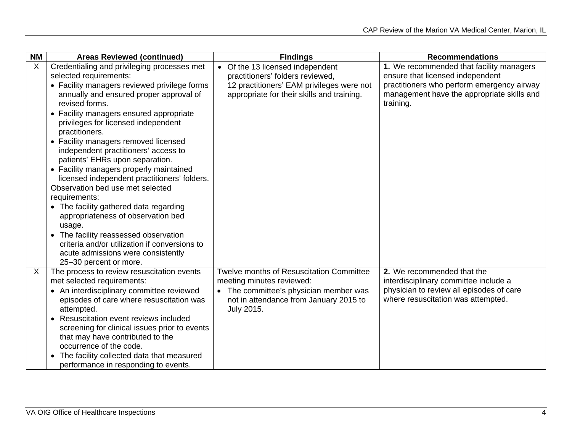| <b>NM</b> | <b>Areas Reviewed (continued)</b>             | <b>Findings</b>                                 | <b>Recommendations</b>                     |
|-----------|-----------------------------------------------|-------------------------------------------------|--------------------------------------------|
| X         | Credentialing and privileging processes met   | • Of the 13 licensed independent                | 1. We recommended that facility managers   |
|           | selected requirements:                        | practitioners' folders reviewed,                | ensure that licensed independent           |
|           | • Facility managers reviewed privilege forms  | 12 practitioners' EAM privileges were not       | practitioners who perform emergency airway |
|           | annually and ensured proper approval of       | appropriate for their skills and training.      | management have the appropriate skills and |
|           | revised forms.                                |                                                 | training.                                  |
|           | • Facility managers ensured appropriate       |                                                 |                                            |
|           | privileges for licensed independent           |                                                 |                                            |
|           | practitioners.                                |                                                 |                                            |
|           | • Facility managers removed licensed          |                                                 |                                            |
|           | independent practitioners' access to          |                                                 |                                            |
|           | patients' EHRs upon separation.               |                                                 |                                            |
|           | • Facility managers properly maintained       |                                                 |                                            |
|           | licensed independent practitioners' folders.  |                                                 |                                            |
|           | Observation bed use met selected              |                                                 |                                            |
|           | requirements:                                 |                                                 |                                            |
|           | • The facility gathered data regarding        |                                                 |                                            |
|           | appropriateness of observation bed            |                                                 |                                            |
|           | usage.                                        |                                                 |                                            |
|           | The facility reassessed observation           |                                                 |                                            |
|           | criteria and/or utilization if conversions to |                                                 |                                            |
|           | acute admissions were consistently            |                                                 |                                            |
|           | 25-30 percent or more.                        |                                                 |                                            |
| X         | The process to review resuscitation events    | <b>Twelve months of Resuscitation Committee</b> | 2. We recommended that the                 |
|           | met selected requirements:                    | meeting minutes reviewed:                       | interdisciplinary committee include a      |
|           | • An interdisciplinary committee reviewed     | • The committee's physician member was          | physician to review all episodes of care   |
|           | episodes of care where resuscitation was      | not in attendance from January 2015 to          | where resuscitation was attempted.         |
|           | attempted.                                    | July 2015.                                      |                                            |
|           | Resuscitation event reviews included          |                                                 |                                            |
|           | screening for clinical issues prior to events |                                                 |                                            |
|           | that may have contributed to the              |                                                 |                                            |
|           | occurrence of the code.                       |                                                 |                                            |
|           | The facility collected data that measured     |                                                 |                                            |
|           | performance in responding to events.          |                                                 |                                            |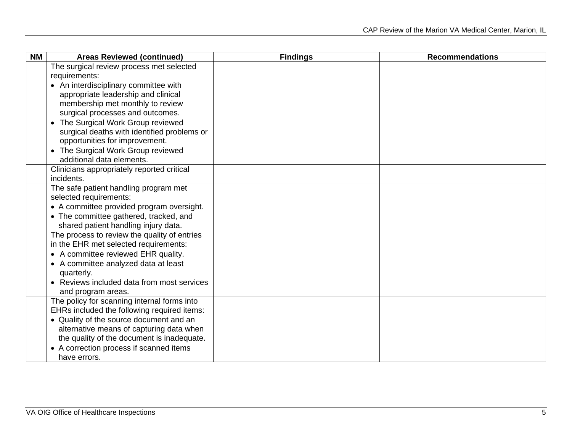| <b>NM</b> | <b>Areas Reviewed (continued)</b>                                 | <b>Findings</b> | <b>Recommendations</b> |
|-----------|-------------------------------------------------------------------|-----------------|------------------------|
|           | The surgical review process met selected                          |                 |                        |
|           | requirements:                                                     |                 |                        |
|           | • An interdisciplinary committee with                             |                 |                        |
|           | appropriate leadership and clinical                               |                 |                        |
|           | membership met monthly to review                                  |                 |                        |
|           | surgical processes and outcomes.                                  |                 |                        |
|           | The Surgical Work Group reviewed<br>$\bullet$                     |                 |                        |
|           | surgical deaths with identified problems or                       |                 |                        |
|           | opportunities for improvement.                                    |                 |                        |
|           | The Surgical Work Group reviewed<br>$\bullet$                     |                 |                        |
|           | additional data elements.                                         |                 |                        |
|           | Clinicians appropriately reported critical                        |                 |                        |
|           | incidents.                                                        |                 |                        |
|           | The safe patient handling program met                             |                 |                        |
|           | selected requirements:                                            |                 |                        |
|           | • A committee provided program oversight.                         |                 |                        |
|           | • The committee gathered, tracked, and                            |                 |                        |
|           | shared patient handling injury data.                              |                 |                        |
|           | The process to review the quality of entries                      |                 |                        |
|           | in the EHR met selected requirements:                             |                 |                        |
|           | • A committee reviewed EHR quality.                               |                 |                        |
|           | • A committee analyzed data at least                              |                 |                        |
|           | quarterly.<br>Reviews included data from most services            |                 |                        |
|           |                                                                   |                 |                        |
|           | and program areas.<br>The policy for scanning internal forms into |                 |                        |
|           | EHRs included the following required items:                       |                 |                        |
|           | • Quality of the source document and an                           |                 |                        |
|           | alternative means of capturing data when                          |                 |                        |
|           | the quality of the document is inadequate.                        |                 |                        |
|           | • A correction process if scanned items                           |                 |                        |
|           | have errors.                                                      |                 |                        |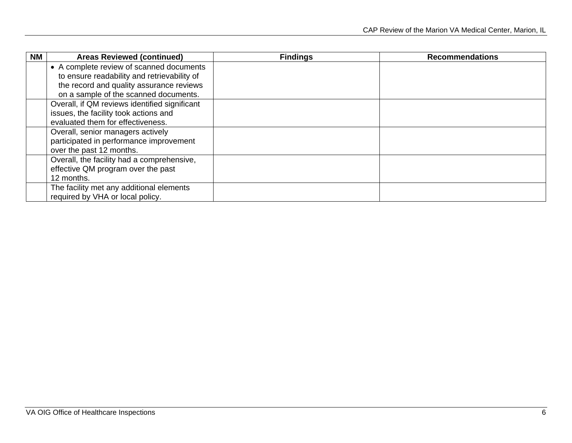| ΝM | <b>Areas Reviewed (continued)</b>             | <b>Findings</b> | <b>Recommendations</b> |
|----|-----------------------------------------------|-----------------|------------------------|
|    | • A complete review of scanned documents      |                 |                        |
|    | to ensure readability and retrievability of   |                 |                        |
|    | the record and quality assurance reviews      |                 |                        |
|    | on a sample of the scanned documents.         |                 |                        |
|    | Overall, if QM reviews identified significant |                 |                        |
|    | issues, the facility took actions and         |                 |                        |
|    | evaluated them for effectiveness.             |                 |                        |
|    | Overall, senior managers actively             |                 |                        |
|    | participated in performance improvement       |                 |                        |
|    | over the past 12 months.                      |                 |                        |
|    | Overall, the facility had a comprehensive,    |                 |                        |
|    | effective QM program over the past            |                 |                        |
|    | 12 months.                                    |                 |                        |
|    | The facility met any additional elements      |                 |                        |
|    | required by VHA or local policy.              |                 |                        |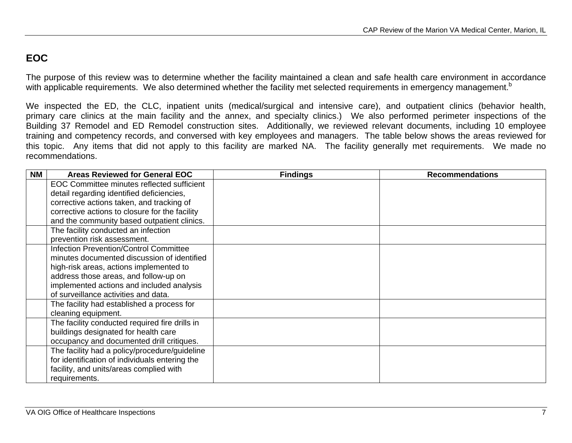## <span id="page-12-0"></span>**EOC**

The purpose of this review was to determine whether the facility maintained a clean and safe health care environment in accordance with applicable requirements. We also determined whether the facility met selected requirements in emergency management.<sup>b</sup>

We inspected the ED, the CLC, inpatient units (medical/surgical and intensive care), and outpatient clinics (behavior health, primary care clinics at the main facility and the annex, and specialty clinics.) We also performed perimeter inspections of the Building 37 Remodel and ED Remodel construction sites. Additionally, we reviewed relevant documents, including 10 employee training and competency records, and conversed with key employees and managers. The table below shows the areas reviewed for this topic. Any items that did not apply to this facility are marked NA. The facility generally met requirements. We made no recommendations.

| <b>NM</b> | <b>Areas Reviewed for General EOC</b>          | <b>Findings</b> | <b>Recommendations</b> |
|-----------|------------------------------------------------|-----------------|------------------------|
|           | EOC Committee minutes reflected sufficient     |                 |                        |
|           | detail regarding identified deficiencies,      |                 |                        |
|           | corrective actions taken, and tracking of      |                 |                        |
|           | corrective actions to closure for the facility |                 |                        |
|           | and the community based outpatient clinics.    |                 |                        |
|           | The facility conducted an infection            |                 |                        |
|           | prevention risk assessment.                    |                 |                        |
|           | <b>Infection Prevention/Control Committee</b>  |                 |                        |
|           | minutes documented discussion of identified    |                 |                        |
|           | high-risk areas, actions implemented to        |                 |                        |
|           | address those areas, and follow-up on          |                 |                        |
|           | implemented actions and included analysis      |                 |                        |
|           | of surveillance activities and data.           |                 |                        |
|           | The facility had established a process for     |                 |                        |
|           | cleaning equipment.                            |                 |                        |
|           | The facility conducted required fire drills in |                 |                        |
|           | buildings designated for health care           |                 |                        |
|           | occupancy and documented drill critiques.      |                 |                        |
|           | The facility had a policy/procedure/guideline  |                 |                        |
|           | for identification of individuals entering the |                 |                        |
|           | facility, and units/areas complied with        |                 |                        |
|           | requirements.                                  |                 |                        |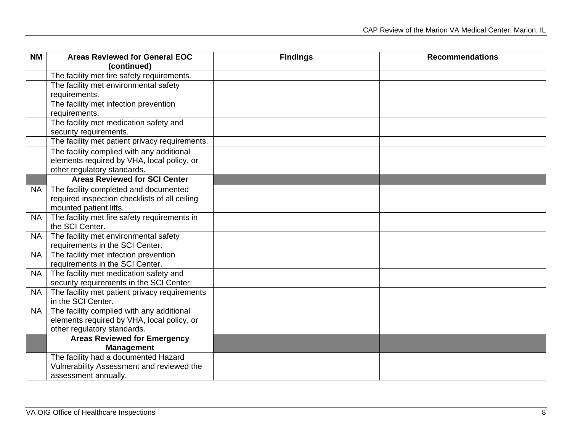| <b>NM</b> | <b>Areas Reviewed for General EOC</b>          | <b>Findings</b> | <b>Recommendations</b> |
|-----------|------------------------------------------------|-----------------|------------------------|
|           | (continued)                                    |                 |                        |
|           | The facility met fire safety requirements.     |                 |                        |
|           | The facility met environmental safety          |                 |                        |
|           | requirements.                                  |                 |                        |
|           | The facility met infection prevention          |                 |                        |
|           | requirements.                                  |                 |                        |
|           | The facility met medication safety and         |                 |                        |
|           | security requirements.                         |                 |                        |
|           | The facility met patient privacy requirements. |                 |                        |
|           | The facility complied with any additional      |                 |                        |
|           | elements required by VHA, local policy, or     |                 |                        |
|           | other regulatory standards.                    |                 |                        |
|           | <b>Areas Reviewed for SCI Center</b>           |                 |                        |
| NA .      | The facility completed and documented          |                 |                        |
|           | required inspection checklists of all ceiling  |                 |                        |
|           | mounted patient lifts.                         |                 |                        |
| <b>NA</b> | The facility met fire safety requirements in   |                 |                        |
|           | the SCI Center.                                |                 |                        |
| <b>NA</b> | The facility met environmental safety          |                 |                        |
|           | requirements in the SCI Center.                |                 |                        |
| <b>NA</b> | The facility met infection prevention          |                 |                        |
|           | requirements in the SCI Center.                |                 |                        |
| <b>NA</b> | The facility met medication safety and         |                 |                        |
|           | security requirements in the SCI Center.       |                 |                        |
| <b>NA</b> | The facility met patient privacy requirements  |                 |                        |
|           | in the SCI Center.                             |                 |                        |
| <b>NA</b> | The facility complied with any additional      |                 |                        |
|           | elements required by VHA, local policy, or     |                 |                        |
|           | other regulatory standards.                    |                 |                        |
|           | <b>Areas Reviewed for Emergency</b>            |                 |                        |
|           | <b>Management</b>                              |                 |                        |
|           | The facility had a documented Hazard           |                 |                        |
|           | Vulnerability Assessment and reviewed the      |                 |                        |
|           | assessment annually.                           |                 |                        |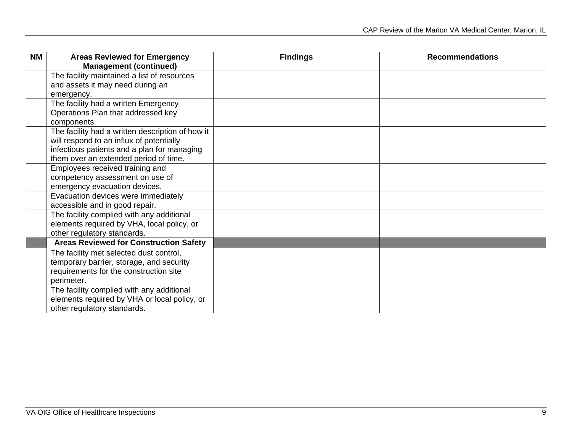| <b>NM</b> | <b>Areas Reviewed for Emergency</b>              | <b>Findings</b> | <b>Recommendations</b> |
|-----------|--------------------------------------------------|-----------------|------------------------|
|           | <b>Management (continued)</b>                    |                 |                        |
|           | The facility maintained a list of resources      |                 |                        |
|           | and assets it may need during an                 |                 |                        |
|           | emergency.                                       |                 |                        |
|           | The facility had a written Emergency             |                 |                        |
|           | Operations Plan that addressed key               |                 |                        |
|           | components.                                      |                 |                        |
|           | The facility had a written description of how it |                 |                        |
|           | will respond to an influx of potentially         |                 |                        |
|           | infectious patients and a plan for managing      |                 |                        |
|           | them over an extended period of time.            |                 |                        |
|           | Employees received training and                  |                 |                        |
|           | competency assessment on use of                  |                 |                        |
|           | emergency evacuation devices.                    |                 |                        |
|           | Evacuation devices were immediately              |                 |                        |
|           | accessible and in good repair.                   |                 |                        |
|           | The facility complied with any additional        |                 |                        |
|           | elements required by VHA, local policy, or       |                 |                        |
|           | other regulatory standards.                      |                 |                        |
|           | <b>Areas Reviewed for Construction Safety</b>    |                 |                        |
|           | The facility met selected dust control,          |                 |                        |
|           | temporary barrier, storage, and security         |                 |                        |
|           | requirements for the construction site           |                 |                        |
|           | perimeter.                                       |                 |                        |
|           | The facility complied with any additional        |                 |                        |
|           | elements required by VHA or local policy, or     |                 |                        |
|           | other regulatory standards.                      |                 |                        |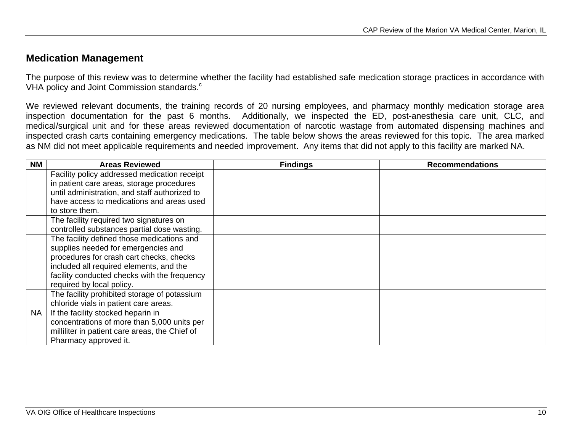## <span id="page-15-0"></span>**Medication Management**

The purpose of this review was to determine whether the facility had established safe medication storage practices in accordance with VHA policy and Joint Commission standards.<sup>c</sup>

We reviewed relevant documents, the training records of 20 nursing employees, and pharmacy monthly medication storage area inspection documentation for the past 6 months. Additionally, we inspected the ED, post-anesthesia care unit, CLC, and medical/surgical unit and for these areas reviewed documentation of narcotic wastage from automated dispensing machines and inspected crash carts containing emergency medications. The table below shows the areas reviewed for this topic. The area marked as NM did not meet applicable requirements and needed improvement. Any items that did not apply to this facility are marked NA.

| <b>NM</b> | <b>Areas Reviewed</b>                          | <b>Findings</b> | <b>Recommendations</b> |
|-----------|------------------------------------------------|-----------------|------------------------|
|           | Facility policy addressed medication receipt   |                 |                        |
|           | in patient care areas, storage procedures      |                 |                        |
|           | until administration, and staff authorized to  |                 |                        |
|           | have access to medications and areas used      |                 |                        |
|           | to store them.                                 |                 |                        |
|           | The facility required two signatures on        |                 |                        |
|           | controlled substances partial dose wasting.    |                 |                        |
|           | The facility defined those medications and     |                 |                        |
|           | supplies needed for emergencies and            |                 |                        |
|           | procedures for crash cart checks, checks       |                 |                        |
|           | included all required elements, and the        |                 |                        |
|           | facility conducted checks with the frequency   |                 |                        |
|           | required by local policy.                      |                 |                        |
|           | The facility prohibited storage of potassium   |                 |                        |
|           | chloride vials in patient care areas.          |                 |                        |
| <b>NA</b> | If the facility stocked heparin in             |                 |                        |
|           | concentrations of more than 5,000 units per    |                 |                        |
|           | milliliter in patient care areas, the Chief of |                 |                        |
|           | Pharmacy approved it.                          |                 |                        |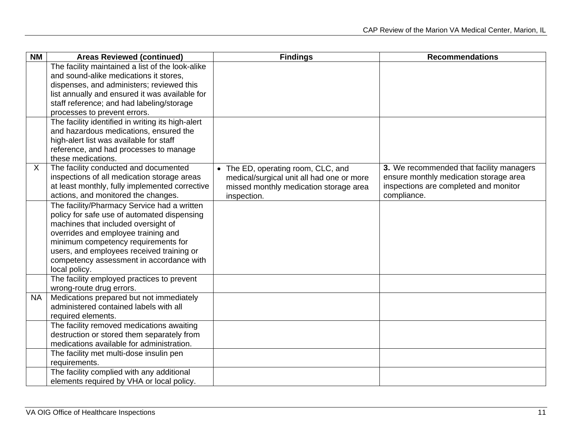| <b>NM</b> | <b>Areas Reviewed (continued)</b>                                                  | <b>Findings</b>                           | <b>Recommendations</b>                   |
|-----------|------------------------------------------------------------------------------------|-------------------------------------------|------------------------------------------|
|           | The facility maintained a list of the look-alike                                   |                                           |                                          |
|           | and sound-alike medications it stores,                                             |                                           |                                          |
|           | dispenses, and administers; reviewed this                                          |                                           |                                          |
|           | list annually and ensured it was available for                                     |                                           |                                          |
|           | staff reference; and had labeling/storage                                          |                                           |                                          |
|           | processes to prevent errors.                                                       |                                           |                                          |
|           | The facility identified in writing its high-alert                                  |                                           |                                          |
|           | and hazardous medications, ensured the                                             |                                           |                                          |
|           | high-alert list was available for staff                                            |                                           |                                          |
|           | reference, and had processes to manage                                             |                                           |                                          |
|           | these medications.                                                                 |                                           |                                          |
| X         | The facility conducted and documented                                              | • The ED, operating room, CLC, and        | 3. We recommended that facility managers |
|           | inspections of all medication storage areas                                        | medical/surgical unit all had one or more | ensure monthly medication storage area   |
|           | at least monthly, fully implemented corrective                                     | missed monthly medication storage area    | inspections are completed and monitor    |
|           | actions, and monitored the changes.                                                | inspection.                               | compliance.                              |
|           | The facility/Pharmacy Service had a written                                        |                                           |                                          |
|           | policy for safe use of automated dispensing                                        |                                           |                                          |
|           | machines that included oversight of                                                |                                           |                                          |
|           | overrides and employee training and                                                |                                           |                                          |
|           | minimum competency requirements for                                                |                                           |                                          |
|           | users, and employees received training or                                          |                                           |                                          |
|           | competency assessment in accordance with                                           |                                           |                                          |
|           | local policy.                                                                      |                                           |                                          |
|           | The facility employed practices to prevent                                         |                                           |                                          |
|           | wrong-route drug errors.                                                           |                                           |                                          |
| <b>NA</b> | Medications prepared but not immediately<br>administered contained labels with all |                                           |                                          |
|           | required elements.                                                                 |                                           |                                          |
|           | The facility removed medications awaiting                                          |                                           |                                          |
|           | destruction or stored them separately from                                         |                                           |                                          |
|           | medications available for administration.                                          |                                           |                                          |
|           | The facility met multi-dose insulin pen                                            |                                           |                                          |
|           | requirements.                                                                      |                                           |                                          |
|           | The facility complied with any additional                                          |                                           |                                          |
|           | elements required by VHA or local policy.                                          |                                           |                                          |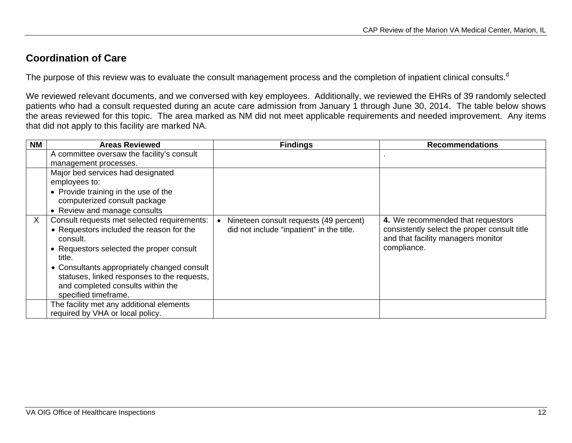## <span id="page-17-0"></span>**Coordination of Care**

The purpose of this review was to evaluate the consult management process and the completion of inpatient clinical consults.<sup>d</sup>

We reviewed relevant documents, and we conversed with key employees. Additionally, we reviewed the EHRs of 39 randomly selected patients who had a consult requested during an acute care admission from January 1 through June 30, 2014. The table below shows the areas reviewed for this topic. The area marked as NM did not meet applicable requirements and needed improvement. Any items that did not apply to this facility are marked NA.

| <b>NM</b> | <b>Areas Reviewed</b>                                | <b>Findings</b>                           | <b>Recommendations</b>                                                             |
|-----------|------------------------------------------------------|-------------------------------------------|------------------------------------------------------------------------------------|
|           | A committee oversaw the facility's consult           |                                           |                                                                                    |
|           | management processes.                                |                                           |                                                                                    |
|           | Major bed services had designated                    |                                           |                                                                                    |
|           | employees to:                                        |                                           |                                                                                    |
|           | • Provide training in the use of the                 |                                           |                                                                                    |
|           | computerized consult package                         |                                           |                                                                                    |
|           | • Review and manage consults                         |                                           |                                                                                    |
| X         | Consult requests met selected requirements:          | Nineteen consult requests (49 percent)    | 4. We recommended that requestors                                                  |
|           | • Requestors included the reason for the<br>consult. | did not include "inpatient" in the title. | consistently select the proper consult title<br>and that facility managers monitor |
|           | • Requestors selected the proper consult<br>title.   |                                           | compliance.                                                                        |
|           | • Consultants appropriately changed consult          |                                           |                                                                                    |
|           | statuses, linked responses to the requests,          |                                           |                                                                                    |
|           | and completed consults within the                    |                                           |                                                                                    |
|           | specified timeframe.                                 |                                           |                                                                                    |
|           | The facility met any additional elements             |                                           |                                                                                    |
|           | required by VHA or local policy.                     |                                           |                                                                                    |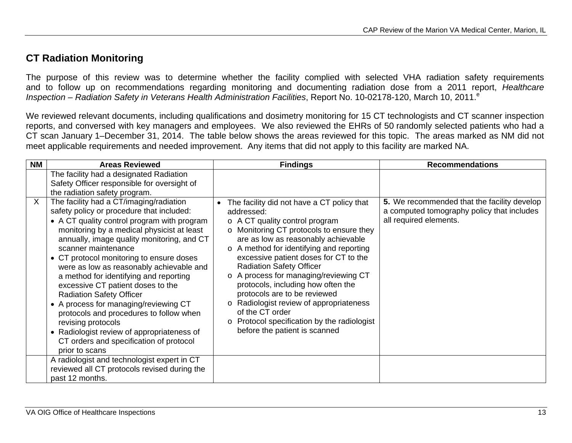## <span id="page-18-0"></span>**CT Radiation Monitoring**

The purpose of this review was to determine whether the facility complied with selected VHA radiation safety requirements and to follow up on recommendations regarding monitoring and documenting radiation dose from a 2011 report, *Healthcare*  Inspection – Radiation Safety in Veterans Health Administration Facilities, Report No. 10-02178-120, March 10, 2011.<sup>e</sup>

We reviewed relevant documents, including qualifications and dosimetry monitoring for 15 CT technologists and CT scanner inspection reports, and conversed with key managers and employees. We also reviewed the EHRs of 50 randomly selected patients who had a CT scan January 1–December 31, 2014. The table below shows the areas reviewed for this topic. The areas marked as NM did not meet applicable requirements and needed improvement. Any items that did not apply to this facility are marked NA.

| <b>NM</b> | <b>Areas Reviewed</b>                                                                                                                                                                                                                                                                                                                                                                                                                                                                                               | <b>Findings</b>                                                                                                                                                                                                                                                                                                                                      | <b>Recommendations</b>                                                                                              |
|-----------|---------------------------------------------------------------------------------------------------------------------------------------------------------------------------------------------------------------------------------------------------------------------------------------------------------------------------------------------------------------------------------------------------------------------------------------------------------------------------------------------------------------------|------------------------------------------------------------------------------------------------------------------------------------------------------------------------------------------------------------------------------------------------------------------------------------------------------------------------------------------------------|---------------------------------------------------------------------------------------------------------------------|
| X         | The facility had a designated Radiation<br>Safety Officer responsible for oversight of<br>the radiation safety program.<br>The facility had a CT/imaging/radiation<br>safety policy or procedure that included:<br>• A CT quality control program with program<br>monitoring by a medical physicist at least<br>annually, image quality monitoring, and CT<br>scanner maintenance<br>• CT protocol monitoring to ensure doses<br>were as low as reasonably achievable and<br>a method for identifying and reporting | The facility did not have a CT policy that<br>addressed:<br>$\circ$ A CT quality control program<br>o Monitoring CT protocols to ensure they<br>are as low as reasonably achievable<br>o A method for identifying and reporting<br>excessive patient doses for CT to the<br><b>Radiation Safety Officer</b><br>o A process for managing/reviewing CT | 5. We recommended that the facility develop<br>a computed tomography policy that includes<br>all required elements. |
|           | excessive CT patient doses to the<br><b>Radiation Safety Officer</b><br>• A process for managing/reviewing CT<br>protocols and procedures to follow when<br>revising protocols<br>• Radiologist review of appropriateness of<br>CT orders and specification of protocol<br>prior to scans                                                                                                                                                                                                                           | protocols, including how often the<br>protocols are to be reviewed<br>o Radiologist review of appropriateness<br>of the CT order<br>o Protocol specification by the radiologist<br>before the patient is scanned                                                                                                                                     |                                                                                                                     |
|           | A radiologist and technologist expert in CT<br>reviewed all CT protocols revised during the<br>past 12 months.                                                                                                                                                                                                                                                                                                                                                                                                      |                                                                                                                                                                                                                                                                                                                                                      |                                                                                                                     |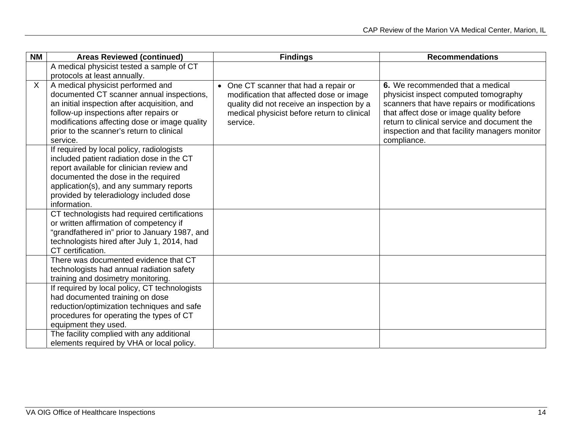| <b>NM</b> | <b>Areas Reviewed (continued)</b>                                                                                                                                                                                                                                                  | <b>Findings</b>                                                                                                                                                                            | <b>Recommendations</b>                                                                                                                                                                                                                                                              |
|-----------|------------------------------------------------------------------------------------------------------------------------------------------------------------------------------------------------------------------------------------------------------------------------------------|--------------------------------------------------------------------------------------------------------------------------------------------------------------------------------------------|-------------------------------------------------------------------------------------------------------------------------------------------------------------------------------------------------------------------------------------------------------------------------------------|
|           | A medical physicist tested a sample of CT                                                                                                                                                                                                                                          |                                                                                                                                                                                            |                                                                                                                                                                                                                                                                                     |
|           | protocols at least annually.                                                                                                                                                                                                                                                       |                                                                                                                                                                                            |                                                                                                                                                                                                                                                                                     |
| X         | A medical physicist performed and<br>documented CT scanner annual inspections,<br>an initial inspection after acquisition, and<br>follow-up inspections after repairs or<br>modifications affecting dose or image quality<br>prior to the scanner's return to clinical<br>service. | • One CT scanner that had a repair or<br>modification that affected dose or image<br>quality did not receive an inspection by a<br>medical physicist before return to clinical<br>service. | 6. We recommended that a medical<br>physicist inspect computed tomography<br>scanners that have repairs or modifications<br>that affect dose or image quality before<br>return to clinical service and document the<br>inspection and that facility managers monitor<br>compliance. |
|           | If required by local policy, radiologists<br>included patient radiation dose in the CT<br>report available for clinician review and<br>documented the dose in the required<br>application(s), and any summary reports<br>provided by teleradiology included dose<br>information.   |                                                                                                                                                                                            |                                                                                                                                                                                                                                                                                     |
|           | CT technologists had required certifications<br>or written affirmation of competency if<br>"grandfathered in" prior to January 1987, and<br>technologists hired after July 1, 2014, had<br>CT certification.                                                                       |                                                                                                                                                                                            |                                                                                                                                                                                                                                                                                     |
|           | There was documented evidence that CT<br>technologists had annual radiation safety<br>training and dosimetry monitoring.                                                                                                                                                           |                                                                                                                                                                                            |                                                                                                                                                                                                                                                                                     |
|           | If required by local policy, CT technologists<br>had documented training on dose<br>reduction/optimization techniques and safe<br>procedures for operating the types of CT<br>equipment they used.                                                                                 |                                                                                                                                                                                            |                                                                                                                                                                                                                                                                                     |
|           | The facility complied with any additional<br>elements required by VHA or local policy.                                                                                                                                                                                             |                                                                                                                                                                                            |                                                                                                                                                                                                                                                                                     |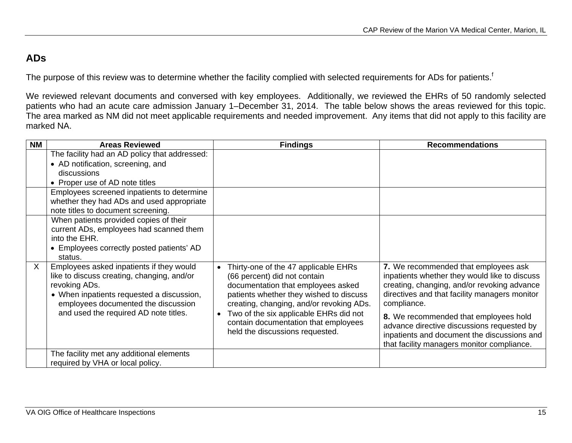## <span id="page-20-0"></span>**ADs**

The purpose of this review was to determine whether the facility complied with selected requirements for ADs for patients.<sup>f</sup>

We reviewed relevant documents and conversed with key employees. Additionally, we reviewed the EHRs of 50 randomly selected patients who had an acute care admission January 1–December 31, 2014. The table below shows the areas reviewed for this topic. The area marked as NM did not meet applicable requirements and needed improvement. Any items that did not apply to this facility are marked NA.

| <b>NM</b> | <b>Areas Reviewed</b>                                                                                                                                                                                                                | <b>Findings</b>                                                                                                                                                                                                                                                                                                        | <b>Recommendations</b>                                                                                                                                                                                                                                                                                                                     |
|-----------|--------------------------------------------------------------------------------------------------------------------------------------------------------------------------------------------------------------------------------------|------------------------------------------------------------------------------------------------------------------------------------------------------------------------------------------------------------------------------------------------------------------------------------------------------------------------|--------------------------------------------------------------------------------------------------------------------------------------------------------------------------------------------------------------------------------------------------------------------------------------------------------------------------------------------|
|           | The facility had an AD policy that addressed:<br>• AD notification, screening, and                                                                                                                                                   |                                                                                                                                                                                                                                                                                                                        |                                                                                                                                                                                                                                                                                                                                            |
|           | discussions                                                                                                                                                                                                                          |                                                                                                                                                                                                                                                                                                                        |                                                                                                                                                                                                                                                                                                                                            |
|           | • Proper use of AD note titles                                                                                                                                                                                                       |                                                                                                                                                                                                                                                                                                                        |                                                                                                                                                                                                                                                                                                                                            |
|           | Employees screened inpatients to determine<br>whether they had ADs and used appropriate<br>note titles to document screening.                                                                                                        |                                                                                                                                                                                                                                                                                                                        |                                                                                                                                                                                                                                                                                                                                            |
|           | When patients provided copies of their<br>current ADs, employees had scanned them<br>into the EHR.<br>• Employees correctly posted patients' AD<br>status.                                                                           |                                                                                                                                                                                                                                                                                                                        |                                                                                                                                                                                                                                                                                                                                            |
| X         | Employees asked inpatients if they would<br>like to discuss creating, changing, and/or<br>revoking ADs.<br>• When inpatients requested a discussion,<br>employees documented the discussion<br>and used the required AD note titles. | Thirty-one of the 47 applicable EHRs<br>(66 percent) did not contain<br>documentation that employees asked<br>patients whether they wished to discuss<br>creating, changing, and/or revoking ADs.<br>Two of the six applicable EHRs did not<br>contain documentation that employees<br>held the discussions requested. | 7. We recommended that employees ask<br>inpatients whether they would like to discuss<br>creating, changing, and/or revoking advance<br>directives and that facility managers monitor<br>compliance.<br>8. We recommended that employees hold<br>advance directive discussions requested by<br>inpatients and document the discussions and |
|           |                                                                                                                                                                                                                                      |                                                                                                                                                                                                                                                                                                                        | that facility managers monitor compliance.                                                                                                                                                                                                                                                                                                 |
|           | The facility met any additional elements                                                                                                                                                                                             |                                                                                                                                                                                                                                                                                                                        |                                                                                                                                                                                                                                                                                                                                            |
|           | required by VHA or local policy.                                                                                                                                                                                                     |                                                                                                                                                                                                                                                                                                                        |                                                                                                                                                                                                                                                                                                                                            |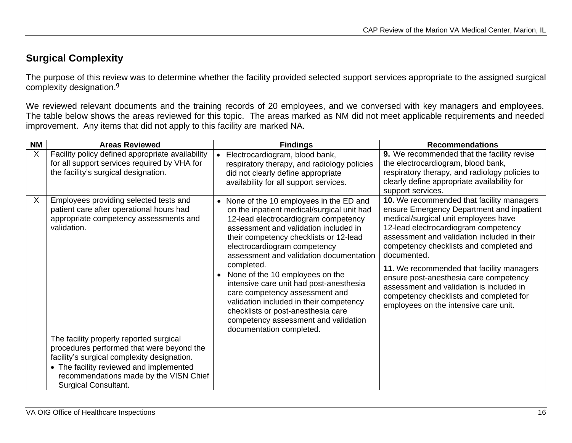## <span id="page-21-0"></span>**Surgical Complexity**

The purpose of this review was to determine whether the facility provided selected support services appropriate to the assigned surgical complexity designation.<sup>9</sup>

We reviewed relevant documents and the training records of 20 employees, and we conversed with key managers and employees. The table below shows the areas reviewed for this topic. The areas marked as NM did not meet applicable requirements and needed improvement. Any items that did not apply to this facility are marked NA.

| <b>NM</b> | <b>Areas Reviewed</b>                                                                                                                                                                                                                                   |           | <b>Findings</b>                                                                                                                                                                                                                                                                                                                                                                                                                                                                                                                                                               | <b>Recommendations</b>                                                                                                                                                                                                                                                                                                                                                                                                                                                                                        |
|-----------|---------------------------------------------------------------------------------------------------------------------------------------------------------------------------------------------------------------------------------------------------------|-----------|-------------------------------------------------------------------------------------------------------------------------------------------------------------------------------------------------------------------------------------------------------------------------------------------------------------------------------------------------------------------------------------------------------------------------------------------------------------------------------------------------------------------------------------------------------------------------------|---------------------------------------------------------------------------------------------------------------------------------------------------------------------------------------------------------------------------------------------------------------------------------------------------------------------------------------------------------------------------------------------------------------------------------------------------------------------------------------------------------------|
| X         | Facility policy defined appropriate availability<br>for all support services required by VHA for<br>the facility's surgical designation.                                                                                                                |           | Electrocardiogram, blood bank,<br>respiratory therapy, and radiology policies<br>did not clearly define appropriate<br>availability for all support services.                                                                                                                                                                                                                                                                                                                                                                                                                 | 9. We recommended that the facility revise<br>the electrocardiogram, blood bank,<br>respiratory therapy, and radiology policies to<br>clearly define appropriate availability for<br>support services.                                                                                                                                                                                                                                                                                                        |
| X         | Employees providing selected tests and<br>patient care after operational hours had<br>appropriate competency assessments and<br>validation.                                                                                                             | $\bullet$ | None of the 10 employees in the ED and<br>on the inpatient medical/surgical unit had<br>12-lead electrocardiogram competency<br>assessment and validation included in<br>their competency checklists or 12-lead<br>electrocardiogram competency<br>assessment and validation documentation<br>completed.<br>None of the 10 employees on the<br>intensive care unit had post-anesthesia<br>care competency assessment and<br>validation included in their competency<br>checklists or post-anesthesia care<br>competency assessment and validation<br>documentation completed. | <b>10.</b> We recommended that facility managers<br>ensure Emergency Department and inpatient<br>medical/surgical unit employees have<br>12-lead electrocardiogram competency<br>assessment and validation included in their<br>competency checklists and completed and<br>documented.<br>11. We recommended that facility managers<br>ensure post-anesthesia care competency<br>assessment and validation is included in<br>competency checklists and completed for<br>employees on the intensive care unit. |
|           | The facility properly reported surgical<br>procedures performed that were beyond the<br>facility's surgical complexity designation.<br>• The facility reviewed and implemented<br>recommendations made by the VISN Chief<br><b>Surgical Consultant.</b> |           |                                                                                                                                                                                                                                                                                                                                                                                                                                                                                                                                                                               |                                                                                                                                                                                                                                                                                                                                                                                                                                                                                                               |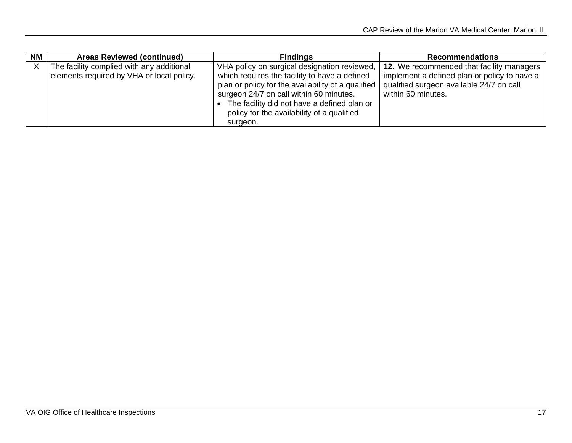| <b>NM</b> | <b>Areas Reviewed (continued)</b>                                                      | <b>Findings</b>                                                                                                                                                                                                                                                                                         | <b>Recommendations</b>                                                                                                                                             |
|-----------|----------------------------------------------------------------------------------------|---------------------------------------------------------------------------------------------------------------------------------------------------------------------------------------------------------------------------------------------------------------------------------------------------------|--------------------------------------------------------------------------------------------------------------------------------------------------------------------|
|           | The facility complied with any additional<br>elements required by VHA or local policy. | VHA policy on surgical designation reviewed,<br>which requires the facility to have a defined<br>plan or policy for the availability of a qualified<br>surgeon 24/7 on call within 60 minutes.<br>The facility did not have a defined plan or<br>policy for the availability of a qualified<br>surgeon. | <b>12.</b> We recommended that facility managers<br>implement a defined plan or policy to have a<br>qualified surgeon available 24/7 on call<br>within 60 minutes. |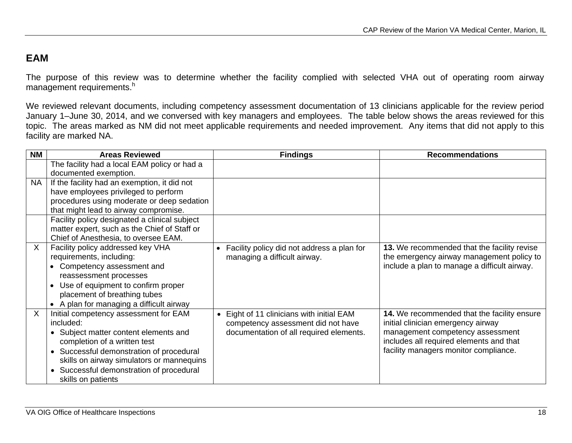## <span id="page-23-0"></span>**EAM**

The purpose of this review was to determine whether the facility complied with selected VHA out of operating room airway management requirements.h

We reviewed relevant documents, including competency assessment documentation of 13 clinicians applicable for the review period January 1–June 30, 2014, and we conversed with key managers and employees. The table below shows the areas reviewed for this topic. The areas marked as NM did not meet applicable requirements and needed improvement. Any items that did not apply to this facility are marked NA.

| <b>NM</b>    | <b>Areas Reviewed</b>                               | <b>Findings</b>                            | <b>Recommendations</b>                       |
|--------------|-----------------------------------------------------|--------------------------------------------|----------------------------------------------|
|              | The facility had a local EAM policy or had a        |                                            |                                              |
|              | documented exemption.                               |                                            |                                              |
| <b>NA</b>    | If the facility had an exemption, it did not        |                                            |                                              |
|              | have employees privileged to perform                |                                            |                                              |
|              | procedures using moderate or deep sedation          |                                            |                                              |
|              | that might lead to airway compromise.               |                                            |                                              |
|              | Facility policy designated a clinical subject       |                                            |                                              |
|              | matter expert, such as the Chief of Staff or        |                                            |                                              |
|              | Chief of Anesthesia, to oversee EAM.                |                                            |                                              |
| $\mathsf{X}$ | Facility policy addressed key VHA                   | Facility policy did not address a plan for | 13. We recommended that the facility revise  |
|              | requirements, including:                            | managing a difficult airway.               | the emergency airway management policy to    |
|              | Competency assessment and                           |                                            | include a plan to manage a difficult airway. |
|              | reassessment processes                              |                                            |                                              |
|              | Use of equipment to confirm proper                  |                                            |                                              |
|              | placement of breathing tubes                        |                                            |                                              |
|              | A plan for managing a difficult airway              |                                            |                                              |
| $\sf X$      | Initial competency assessment for EAM               | Eight of 11 clinicians with initial EAM    | 14. We recommended that the facility ensure  |
|              | included:                                           | competency assessment did not have         | initial clinician emergency airway           |
|              | Subject matter content elements and                 | documentation of all required elements.    | management competency assessment             |
|              | completion of a written test                        |                                            | includes all required elements and that      |
|              | Successful demonstration of procedural<br>$\bullet$ |                                            | facility managers monitor compliance.        |
|              | skills on airway simulators or mannequins           |                                            |                                              |
|              | Successful demonstration of procedural              |                                            |                                              |
|              | skills on patients                                  |                                            |                                              |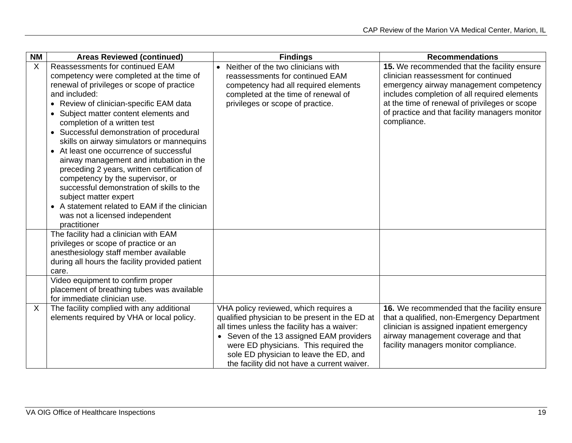| <b>NM</b> | <b>Areas Reviewed (continued)</b>                                                                                                                                                                                                                                                                                                                                                                                                                                                                                                                                                                                                                                                                         | <b>Findings</b>                                                                                                                                                                                                                                                                                                      | <b>Recommendations</b>                                                                                                                                                                                                                                                                          |
|-----------|-----------------------------------------------------------------------------------------------------------------------------------------------------------------------------------------------------------------------------------------------------------------------------------------------------------------------------------------------------------------------------------------------------------------------------------------------------------------------------------------------------------------------------------------------------------------------------------------------------------------------------------------------------------------------------------------------------------|----------------------------------------------------------------------------------------------------------------------------------------------------------------------------------------------------------------------------------------------------------------------------------------------------------------------|-------------------------------------------------------------------------------------------------------------------------------------------------------------------------------------------------------------------------------------------------------------------------------------------------|
| $\sf X$   | Reassessments for continued EAM<br>competency were completed at the time of<br>renewal of privileges or scope of practice<br>and included:<br>• Review of clinician-specific EAM data<br>• Subject matter content elements and<br>completion of a written test<br>• Successful demonstration of procedural<br>skills on airway simulators or mannequins<br>• At least one occurrence of successful<br>airway management and intubation in the<br>preceding 2 years, written certification of<br>competency by the supervisor, or<br>successful demonstration of skills to the<br>subject matter expert<br>• A statement related to EAM if the clinician<br>was not a licensed independent<br>practitioner | Neither of the two clinicians with<br>reassessments for continued EAM<br>competency had all required elements<br>completed at the time of renewal of<br>privileges or scope of practice.                                                                                                                             | 15. We recommended that the facility ensure<br>clinician reassessment for continued<br>emergency airway management competency<br>includes completion of all required elements<br>at the time of renewal of privileges or scope<br>of practice and that facility managers monitor<br>compliance. |
|           | The facility had a clinician with EAM<br>privileges or scope of practice or an<br>anesthesiology staff member available<br>during all hours the facility provided patient<br>care.                                                                                                                                                                                                                                                                                                                                                                                                                                                                                                                        |                                                                                                                                                                                                                                                                                                                      |                                                                                                                                                                                                                                                                                                 |
|           | Video equipment to confirm proper<br>placement of breathing tubes was available<br>for immediate clinician use.                                                                                                                                                                                                                                                                                                                                                                                                                                                                                                                                                                                           |                                                                                                                                                                                                                                                                                                                      |                                                                                                                                                                                                                                                                                                 |
| X         | The facility complied with any additional<br>elements required by VHA or local policy.                                                                                                                                                                                                                                                                                                                                                                                                                                                                                                                                                                                                                    | VHA policy reviewed, which requires a<br>qualified physician to be present in the ED at<br>all times unless the facility has a waiver:<br>• Seven of the 13 assigned EAM providers<br>were ED physicians. This required the<br>sole ED physician to leave the ED, and<br>the facility did not have a current waiver. | 16. We recommended that the facility ensure<br>that a qualified, non-Emergency Department<br>clinician is assigned inpatient emergency<br>airway management coverage and that<br>facility managers monitor compliance.                                                                          |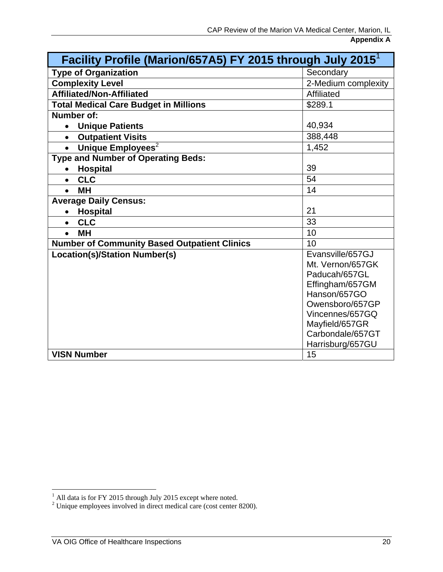<span id="page-25-0"></span>

| Facility Profile (Marion/657A5) FY 2015 through July 2015 <sup>1</sup> |                                      |  |  |
|------------------------------------------------------------------------|--------------------------------------|--|--|
| <b>Type of Organization</b>                                            | Secondary                            |  |  |
| <b>Complexity Level</b>                                                | 2-Medium complexity                  |  |  |
| <b>Affiliated/Non-Affiliated</b>                                       | Affiliated                           |  |  |
| <b>Total Medical Care Budget in Millions</b>                           | \$289.1                              |  |  |
| Number of:                                                             |                                      |  |  |
| <b>Unique Patients</b><br>$\bullet$                                    | 40,934                               |  |  |
| <b>Outpatient Visits</b><br>$\bullet$                                  | 388,448                              |  |  |
| Unique Employees <sup>2</sup>                                          | 1,452                                |  |  |
| <b>Type and Number of Operating Beds:</b>                              |                                      |  |  |
| <b>Hospital</b><br>$\bullet$                                           | 39                                   |  |  |
| <b>CLC</b>                                                             | 54                                   |  |  |
| <b>MH</b><br>$\bullet$                                                 | 14                                   |  |  |
| <b>Average Daily Census:</b>                                           |                                      |  |  |
| <b>Hospital</b>                                                        | 21                                   |  |  |
| <b>CLC</b><br>$\bullet$                                                | 33                                   |  |  |
| <b>MH</b>                                                              | 10                                   |  |  |
| <b>Number of Community Based Outpatient Clinics</b>                    | 10                                   |  |  |
| <b>Location(s)/Station Number(s)</b>                                   | Evansville/657GJ<br>Mt. Vernon/657GK |  |  |
|                                                                        | Paducah/657GL                        |  |  |
|                                                                        | Effingham/657GM                      |  |  |
|                                                                        | Hanson/657GO                         |  |  |
|                                                                        | Owensboro/657GP                      |  |  |
|                                                                        | Vincennes/657GQ                      |  |  |
|                                                                        | Mayfield/657GR                       |  |  |
|                                                                        | Carbondale/657GT                     |  |  |
|                                                                        | Harrisburg/657GU                     |  |  |
| <b>VISN Number</b>                                                     | 15                                   |  |  |

<sup>&</sup>lt;sup>1</sup> All data is for FY 2015 through July 2015 except where noted.<br><sup>2</sup> Unique employees involved in direct medical care (cost center 8200).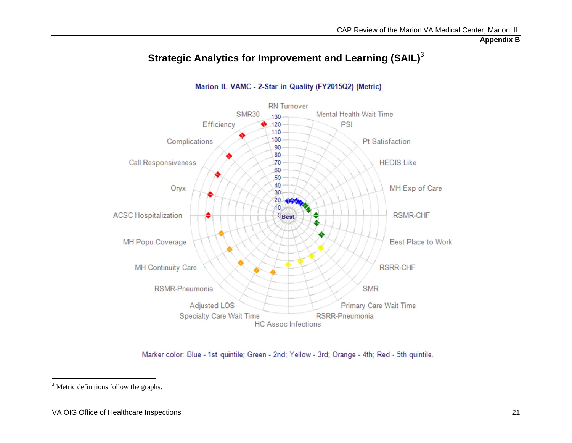**Appendix B** 

<span id="page-26-0"></span>

## **Strategic Analytics for Improvement and Learning (SAIL)**<sup>3</sup>

Marion IL VAMC - 2-Star in Quality (FY2015Q2) (Metric)

Marker color: Blue - 1st quintile; Green - 2nd; Yellow - 3rd; Orange - 4th; Red - 5th quintile.

<sup>&</sup>lt;sup>3</sup> Metric definitions follow the graphs.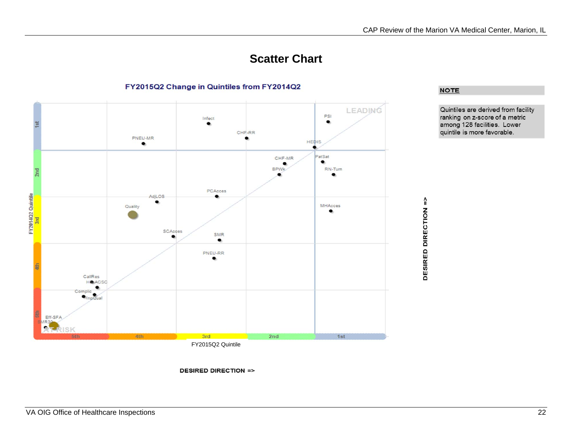## **Scatter Chart**



**DESIRED DIRECTION =>** 

#### FY2015Q2 Change in Quintiles from FY2014Q2

**NOTE** 

Quintiles are derived from facility ranking on z-score of a metric<br>among 128 facilities. Lower quintile is more favorable.



VA OIG Office of Healthcare Inspections 22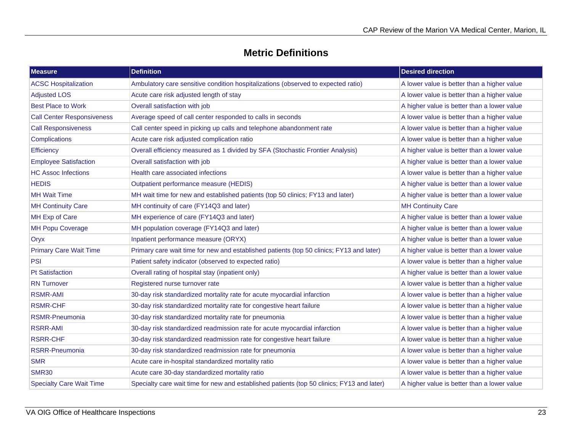## **Metric Definitions**

| <b>Measure</b>                    | <b>Definition</b>                                                                          | <b>Desired direction</b>                    |
|-----------------------------------|--------------------------------------------------------------------------------------------|---------------------------------------------|
| <b>ACSC Hospitalization</b>       | Ambulatory care sensitive condition hospitalizations (observed to expected ratio)          | A lower value is better than a higher value |
| <b>Adjusted LOS</b>               | Acute care risk adjusted length of stay                                                    | A lower value is better than a higher value |
| <b>Best Place to Work</b>         | Overall satisfaction with job                                                              | A higher value is better than a lower value |
| <b>Call Center Responsiveness</b> | Average speed of call center responded to calls in seconds                                 | A lower value is better than a higher value |
| <b>Call Responsiveness</b>        | Call center speed in picking up calls and telephone abandonment rate                       | A lower value is better than a higher value |
| <b>Complications</b>              | Acute care risk adjusted complication ratio                                                | A lower value is better than a higher value |
| Efficiency                        | Overall efficiency measured as 1 divided by SFA (Stochastic Frontier Analysis)             | A higher value is better than a lower value |
| <b>Employee Satisfaction</b>      | Overall satisfaction with job                                                              | A higher value is better than a lower value |
| <b>HC Assoc Infections</b>        | Health care associated infections                                                          | A lower value is better than a higher value |
| <b>HEDIS</b>                      | Outpatient performance measure (HEDIS)                                                     | A higher value is better than a lower value |
| <b>MH Wait Time</b>               | MH wait time for new and established patients (top 50 clinics; FY13 and later)             | A higher value is better than a lower value |
| <b>MH Continuity Care</b>         | MH continuity of care (FY14Q3 and later)                                                   | <b>MH Continuity Care</b>                   |
| MH Exp of Care                    | MH experience of care (FY14Q3 and later)                                                   | A higher value is better than a lower value |
| <b>MH Popu Coverage</b>           | MH population coverage (FY14Q3 and later)                                                  | A higher value is better than a lower value |
| Oryx                              | Inpatient performance measure (ORYX)                                                       | A higher value is better than a lower value |
| <b>Primary Care Wait Time</b>     | Primary care wait time for new and established patients (top 50 clinics; FY13 and later)   | A higher value is better than a lower value |
| <b>PSI</b>                        | Patient safety indicator (observed to expected ratio)                                      | A lower value is better than a higher value |
| <b>Pt Satisfaction</b>            | Overall rating of hospital stay (inpatient only)                                           | A higher value is better than a lower value |
| <b>RN Turnover</b>                | Registered nurse turnover rate                                                             | A lower value is better than a higher value |
| <b>RSMR-AMI</b>                   | 30-day risk standardized mortality rate for acute myocardial infarction                    | A lower value is better than a higher value |
| <b>RSMR-CHF</b>                   | 30-day risk standardized mortality rate for congestive heart failure                       | A lower value is better than a higher value |
| RSMR-Pneumonia                    | 30-day risk standardized mortality rate for pneumonia                                      | A lower value is better than a higher value |
| <b>RSRR-AMI</b>                   | 30-day risk standardized readmission rate for acute myocardial infarction                  | A lower value is better than a higher value |
| <b>RSRR-CHF</b>                   | 30-day risk standardized readmission rate for congestive heart failure                     | A lower value is better than a higher value |
| <b>RSRR-Pneumonia</b>             | 30-day risk standardized readmission rate for pneumonia                                    | A lower value is better than a higher value |
| <b>SMR</b>                        | Acute care in-hospital standardized mortality ratio                                        | A lower value is better than a higher value |
| <b>SMR30</b>                      | Acute care 30-day standardized mortality ratio                                             | A lower value is better than a higher value |
| <b>Specialty Care Wait Time</b>   | Specialty care wait time for new and established patients (top 50 clinics; FY13 and later) | A higher value is better than a lower value |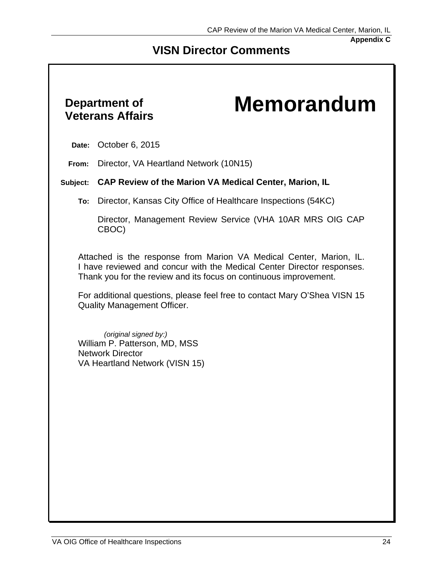#### **Appendix C**

## **VISN Director Comments**

## **Department of**

# <span id="page-29-0"></span>**Veterans Affairs Memorandum**

**Date:** October 6, 2015

**From:** Director, VA Heartland Network (10N15)

#### **Subject: CAP Review of the Marion VA Medical Center, Marion, IL**

**To:** Director, Kansas City Office of Healthcare Inspections (54KC)

Director, Management Review Service (VHA 10AR MRS OIG CAP CBOC)

 I have reviewed and concur with the Medical Center Director responses. Thank you for the review and its focus on continuous improvement. Attached is the response from Marion VA Medical Center, Marion, IL.

For additional questions, please feel free to contact Mary O'Shea VISN 15 Quality Management Officer.

*(original signed by:)*  William P. Patterson, MD, MSS Network Director VA Heartland Network (VISN 15)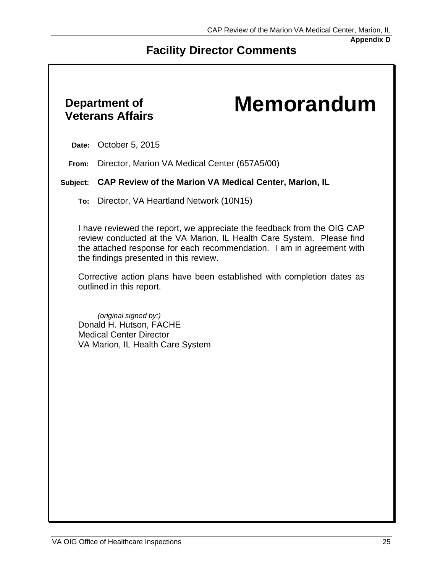**Appendix D** 

## **Facility Director Comments**

# **Department of**

# <span id="page-30-0"></span>**Veterans Affairs Memorandum**

**Date:** October 5, 2015

**From:** Director, Marion VA Medical Center (657A5/00)

#### **Subject: CAP Review of the Marion VA Medical Center, Marion, IL**

**To:** Director, VA Heartland Network (10N15)

I have reviewed the report, we appreciate the feedback from the OIG CAP review conducted at the VA Marion, IL Health Care System. Please find the attached response for each recommendation. I am in agreement with the findings presented in this review.

Corrective action plans have been established with completion dates as outlined in this report.

*(original signed by:)*  Donald H. Hutson, FACHE Medical Center Director VA Marion, IL Health Care System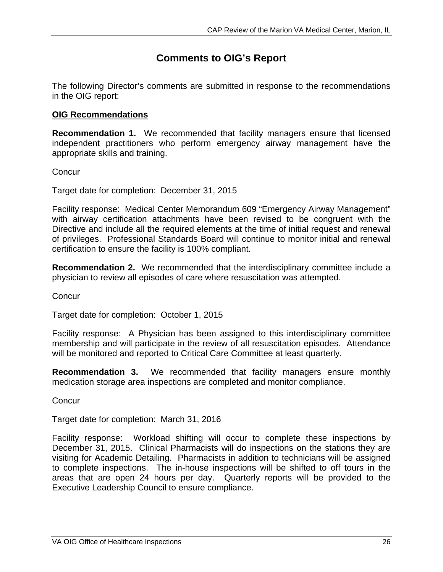## **Comments to OIG's Report**

The following Director's comments are submitted in response to the recommendations in the OIG report:

#### **OIG Recommendations**

**Recommendation 1.** We recommended that facility managers ensure that licensed independent practitioners who perform emergency airway management have the appropriate skills and training.

**Concur** 

Target date for completion: December 31, 2015

Facility response: Medical Center Memorandum 609 "Emergency Airway Management" with airway certification attachments have been revised to be congruent with the Directive and include all the required elements at the time of initial request and renewal of privileges. Professional Standards Board will continue to monitor initial and renewal certification to ensure the facility is 100% compliant.

**Recommendation 2.** We recommended that the interdisciplinary committee include a physician to review all episodes of care where resuscitation was attempted.

**Concur** 

Target date for completion: October 1, 2015

Facility response: A Physician has been assigned to this interdisciplinary committee membership and will participate in the review of all resuscitation episodes. Attendance will be monitored and reported to Critical Care Committee at least quarterly.

**Recommendation 3.** We recommended that facility managers ensure monthly medication storage area inspections are completed and monitor compliance.

**Concur** 

Target date for completion: March 31, 2016

Facility response: Workload shifting will occur to complete these inspections by December 31, 2015. Clinical Pharmacists will do inspections on the stations they are visiting for Academic Detailing. Pharmacists in addition to technicians will be assigned to complete inspections. The in-house inspections will be shifted to off tours in the areas that are open 24 hours per day. Quarterly reports will be provided to the Executive Leadership Council to ensure compliance.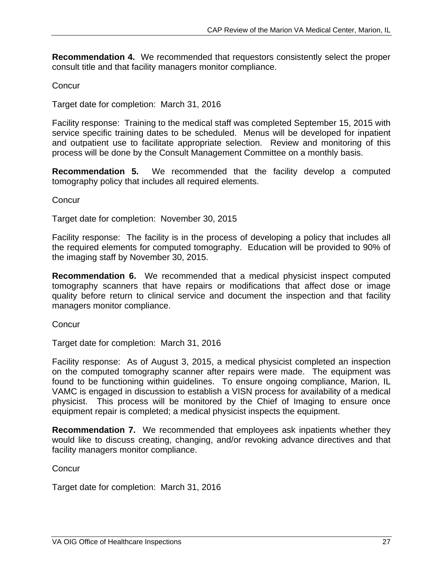**Recommendation 4.** We recommended that requestors consistently select the proper consult title and that facility managers monitor compliance.

#### **Concur**

Target date for completion: March 31, 2016

Facility response: Training to the medical staff was completed September 15, 2015 with service specific training dates to be scheduled. Menus will be developed for inpatient and outpatient use to facilitate appropriate selection. Review and monitoring of this process will be done by the Consult Management Committee on a monthly basis.

**Recommendation 5.** We recommended that the facility develop a computed tomography policy that includes all required elements.

**Concur** 

Target date for completion: November 30, 2015

Facility response: The facility is in the process of developing a policy that includes all the required elements for computed tomography. Education will be provided to 90% of the imaging staff by November 30, 2015.

**Recommendation 6.** We recommended that a medical physicist inspect computed tomography scanners that have repairs or modifications that affect dose or image quality before return to clinical service and document the inspection and that facility managers monitor compliance.

**Concur** 

Target date for completion: March 31, 2016

Facility response: As of August 3, 2015, a medical physicist completed an inspection on the computed tomography scanner after repairs were made. The equipment was found to be functioning within guidelines. To ensure ongoing compliance, Marion, IL VAMC is engaged in discussion to establish a VISN process for availability of a medical physicist. This process will be monitored by the Chief of Imaging to ensure once equipment repair is completed; a medical physicist inspects the equipment.

**Recommendation 7.** We recommended that employees ask inpatients whether they would like to discuss creating, changing, and/or revoking advance directives and that facility managers monitor compliance.

**Concur** 

Target date for completion: March 31, 2016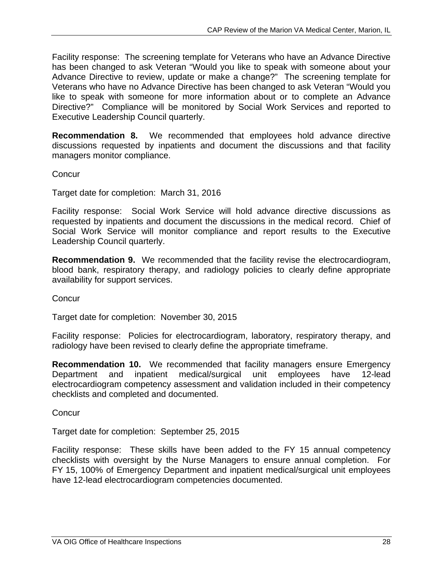Facility response: The screening template for Veterans who have an Advance Directive has been changed to ask Veteran "Would you like to speak with someone about your Advance Directive to review, update or make a change?" The screening template for Veterans who have no Advance Directive has been changed to ask Veteran "Would you like to speak with someone for more information about or to complete an Advance Directive?" Compliance will be monitored by Social Work Services and reported to Executive Leadership Council quarterly.

**Recommendation 8.** We recommended that employees hold advance directive discussions requested by inpatients and document the discussions and that facility managers monitor compliance.

**Concur** 

Target date for completion: March 31, 2016

Facility response: Social Work Service will hold advance directive discussions as requested by inpatients and document the discussions in the medical record. Chief of Social Work Service will monitor compliance and report results to the Executive Leadership Council quarterly.

**Recommendation 9.** We recommended that the facility revise the electrocardiogram, blood bank, respiratory therapy, and radiology policies to clearly define appropriate availability for support services.

**Concur** 

Target date for completion: November 30, 2015

Facility response: Policies for electrocardiogram, laboratory, respiratory therapy, and radiology have been revised to clearly define the appropriate timeframe.

**Recommendation 10.** We recommended that facility managers ensure Emergency Department and inpatient medical/surgical unit employees have 12-lead electrocardiogram competency assessment and validation included in their competency checklists and completed and documented.

**Concur** 

Target date for completion: September 25, 2015

Facility response: These skills have been added to the FY 15 annual competency checklists with oversight by the Nurse Managers to ensure annual completion. For FY 15, 100% of Emergency Department and inpatient medical/surgical unit employees have 12-lead electrocardiogram competencies documented.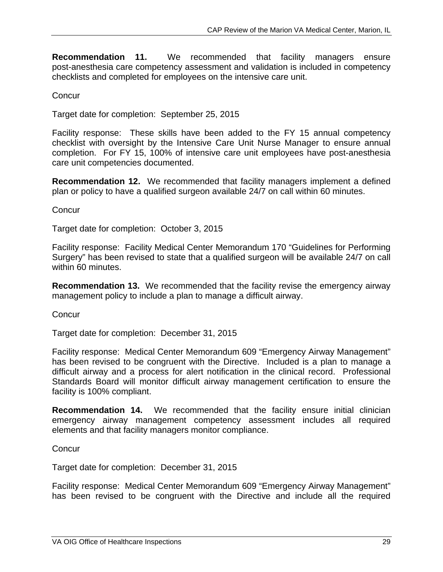**Recommendation 11.** We recommended that facility managers ensure post-anesthesia care competency assessment and validation is included in competency checklists and completed for employees on the intensive care unit.

#### **Concur**

Target date for completion: September 25, 2015

Facility response: These skills have been added to the FY 15 annual competency checklist with oversight by the Intensive Care Unit Nurse Manager to ensure annual completion. For FY 15, 100% of intensive care unit employees have post-anesthesia care unit competencies documented.

**Recommendation 12.** We recommended that facility managers implement a defined plan or policy to have a qualified surgeon available 24/7 on call within 60 minutes.

**Concur** 

Target date for completion: October 3, 2015

Facility response: Facility Medical Center Memorandum 170 "Guidelines for Performing Surgery" has been revised to state that a qualified surgeon will be available 24/7 on call within 60 minutes.

**Recommendation 13.** We recommended that the facility revise the emergency airway management policy to include a plan to manage a difficult airway.

**Concur** 

Target date for completion: December 31, 2015

Facility response: Medical Center Memorandum 609 "Emergency Airway Management" has been revised to be congruent with the Directive. Included is a plan to manage a difficult airway and a process for alert notification in the clinical record. Professional Standards Board will monitor difficult airway management certification to ensure the facility is 100% compliant.

**Recommendation 14.** We recommended that the facility ensure initial clinician emergency airway management competency assessment includes all required elements and that facility managers monitor compliance.

**Concur** 

Target date for completion: December 31, 2015

Facility response: Medical Center Memorandum 609 "Emergency Airway Management" has been revised to be congruent with the Directive and include all the required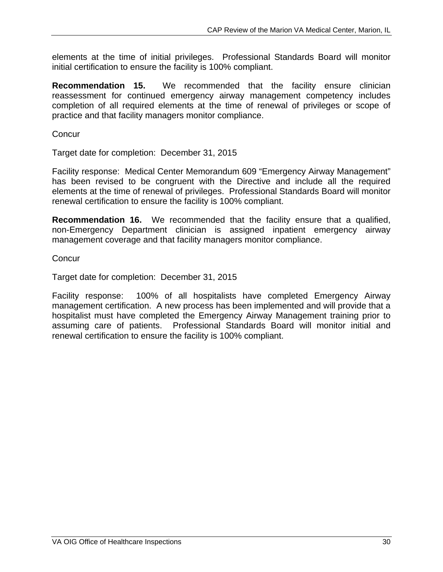elements at the time of initial privileges. Professional Standards Board will monitor initial certification to ensure the facility is 100% compliant.

**Recommendation 15.** We recommended that the facility ensure clinician reassessment for continued emergency airway management competency includes completion of all required elements at the time of renewal of privileges or scope of practice and that facility managers monitor compliance.

**Concur** 

Target date for completion: December 31, 2015

Facility response: Medical Center Memorandum 609 "Emergency Airway Management" has been revised to be congruent with the Directive and include all the required elements at the time of renewal of privileges. Professional Standards Board will monitor renewal certification to ensure the facility is 100% compliant.

**Recommendation 16.** We recommended that the facility ensure that a qualified, non-Emergency Department clinician is assigned inpatient emergency airway management coverage and that facility managers monitor compliance.

**Concur** 

Target date for completion: December 31, 2015

Facility response: 100% of all hospitalists have completed Emergency Airway management certification. A new process has been implemented and will provide that a hospitalist must have completed the Emergency Airway Management training prior to assuming care of patients. Professional Standards Board will monitor initial and renewal certification to ensure the facility is 100% compliant.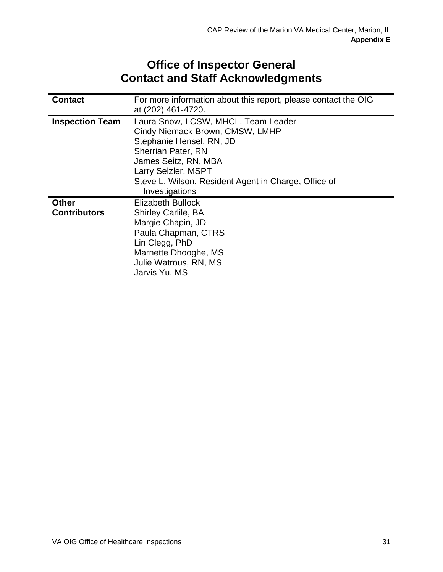## **Office of Inspector General Contact and Staff Acknowledgments**

<span id="page-36-0"></span>

| <b>Contact</b>                      | For more information about this report, please contact the OIG<br>at (202) 461-4720.                                                                                                                                                                     |
|-------------------------------------|----------------------------------------------------------------------------------------------------------------------------------------------------------------------------------------------------------------------------------------------------------|
| <b>Inspection Team</b>              | Laura Snow, LCSW, MHCL, Team Leader<br>Cindy Niemack-Brown, CMSW, LMHP<br>Stephanie Hensel, RN, JD<br><b>Sherrian Pater, RN</b><br>James Seitz, RN, MBA<br>Larry Selzler, MSPT<br>Steve L. Wilson, Resident Agent in Charge, Office of<br>Investigations |
| <b>Other</b><br><b>Contributors</b> | Elizabeth Bullock<br><b>Shirley Carlile, BA</b><br>Margie Chapin, JD<br>Paula Chapman, CTRS<br>Lin Clegg, PhD<br>Marnette Dhooghe, MS<br>Julie Watrous, RN, MS<br>Jarvis Yu, MS                                                                          |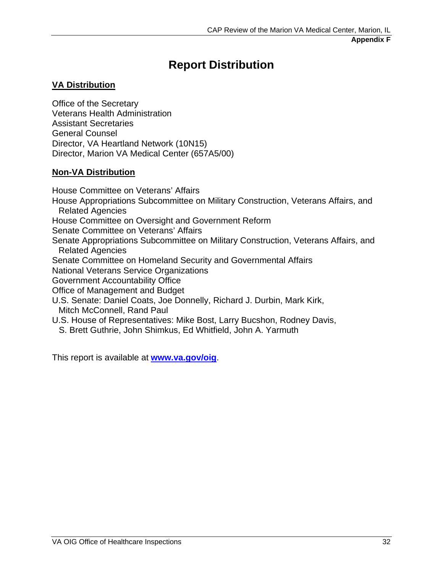## **Report Distribution**

#### <span id="page-37-0"></span>**VA Distribution**

Office of the Secretary Veterans Health Administration Assistant Secretaries General Counsel Director, VA Heartland Network (10N15) Director, Marion VA Medical Center (657A5/00)

#### **Non-VA Distribution**

House Committee on Veterans' Affairs House Appropriations Subcommittee on Military Construction, Veterans Affairs, and Related Agencies House Committee on Oversight and Government Reform Senate Committee on Veterans' Affairs Senate Appropriations Subcommittee on Military Construction, Veterans Affairs, and Related Agencies Senate Committee on Homeland Security and Governmental Affairs National Veterans Service Organizations Government Accountability Office Office of Management and Budget U.S. Senate: Daniel Coats, Joe Donnelly, Richard J. Durbin, Mark Kirk, Mitch McConnell, Rand Paul U.S. House of Representatives: Mike Bost, Larry Bucshon, Rodney Davis, S. Brett Guthrie, John Shimkus, Ed Whitfield, John A. Yarmuth

This report is available at **[www.va.gov/oig](http://www.va.gov/oig)**.